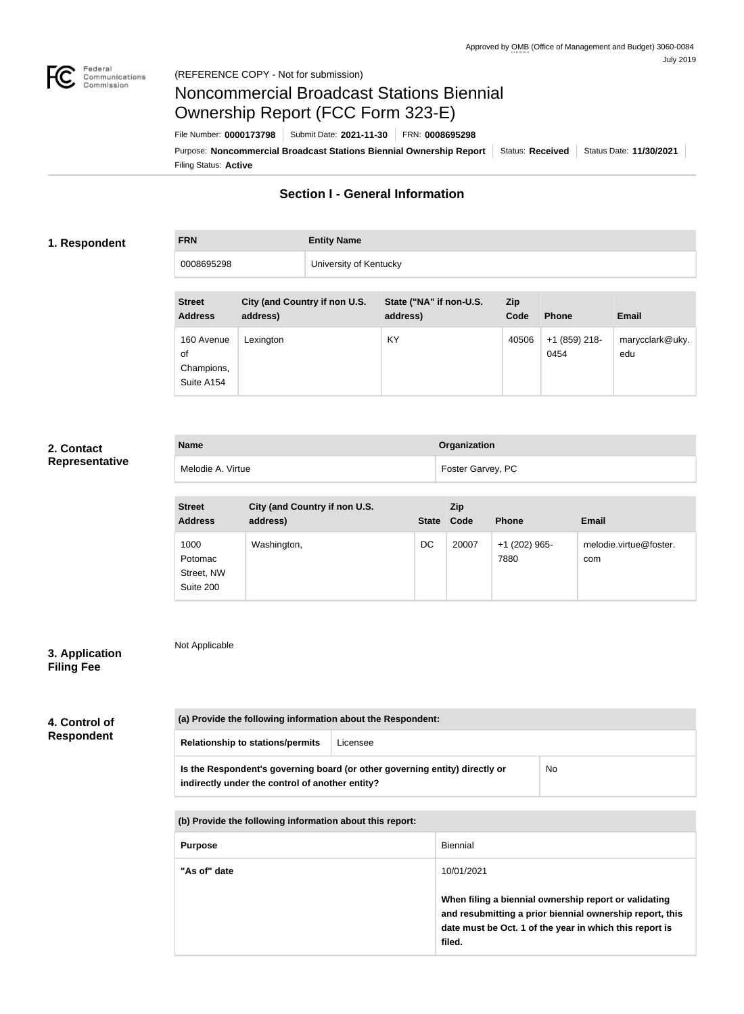

# Noncommercial Broadcast Stations Biennial Ownership Report (FCC Form 323-E)

Filing Status: **Active** Purpose: Noncommercial Broadcast Stations Biennial Ownership Report | Status: Received | Status Date: 11/30/2021 File Number: **0000173798** Submit Date: **2021-11-30** FRN: **0008695298**

# **Section I - General Information**

#### **1. Respondent**

# **FRN Entity Name** 0008695298 University of Kentucky

| <b>Street</b><br><b>Address</b>              | City (and Country if non U.S.<br>address) | State ("NA" if non-U.S.<br>address) | <b>Zip</b><br>Code | <b>Phone</b>            | <b>Email</b>           |
|----------------------------------------------|-------------------------------------------|-------------------------------------|--------------------|-------------------------|------------------------|
| 160 Avenue<br>οf<br>Champions,<br>Suite A154 | Lexington                                 | KY                                  | 40506              | $+1$ (859) 218-<br>0454 | marycclark@uky.<br>edu |

### **2. Contact Representative**

| <b>Name</b>       | Organization      |
|-------------------|-------------------|
| Melodie A. Virtue | Foster Garvey, PC |

| <b>Street</b><br><b>Address</b>            | City (and Country if non U.S.<br>address) | <b>State</b> | <b>Zip</b><br>Code | <b>Phone</b>          | <b>Email</b>                  |
|--------------------------------------------|-------------------------------------------|--------------|--------------------|-----------------------|-------------------------------|
| 1000<br>Potomac<br>Street, NW<br>Suite 200 | Washington,                               | DC           | 20007              | +1 (202) 965-<br>7880 | melodie.virtue@foster.<br>com |

## **3. Application Filing Fee**

Not Applicable

| 4. Control of     | (a) Provide the following information about the Respondent:                                                                    |                                                                                                                                                                                        |            |           |  |
|-------------------|--------------------------------------------------------------------------------------------------------------------------------|----------------------------------------------------------------------------------------------------------------------------------------------------------------------------------------|------------|-----------|--|
| <b>Respondent</b> | <b>Relationship to stations/permits</b>                                                                                        | Licensee                                                                                                                                                                               |            |           |  |
|                   | Is the Respondent's governing board (or other governing entity) directly or<br>indirectly under the control of another entity? |                                                                                                                                                                                        |            | <b>No</b> |  |
|                   | (b) Provide the following information about this report:                                                                       |                                                                                                                                                                                        |            |           |  |
|                   | <b>Purpose</b>                                                                                                                 |                                                                                                                                                                                        | Biennial   |           |  |
|                   | "As of" date                                                                                                                   |                                                                                                                                                                                        | 10/01/2021 |           |  |
|                   |                                                                                                                                | When filing a biennial ownership report or validating<br>and resubmitting a prior biennial ownership report, this<br>date must be Oct. 1 of the year in which this report is<br>filed. |            |           |  |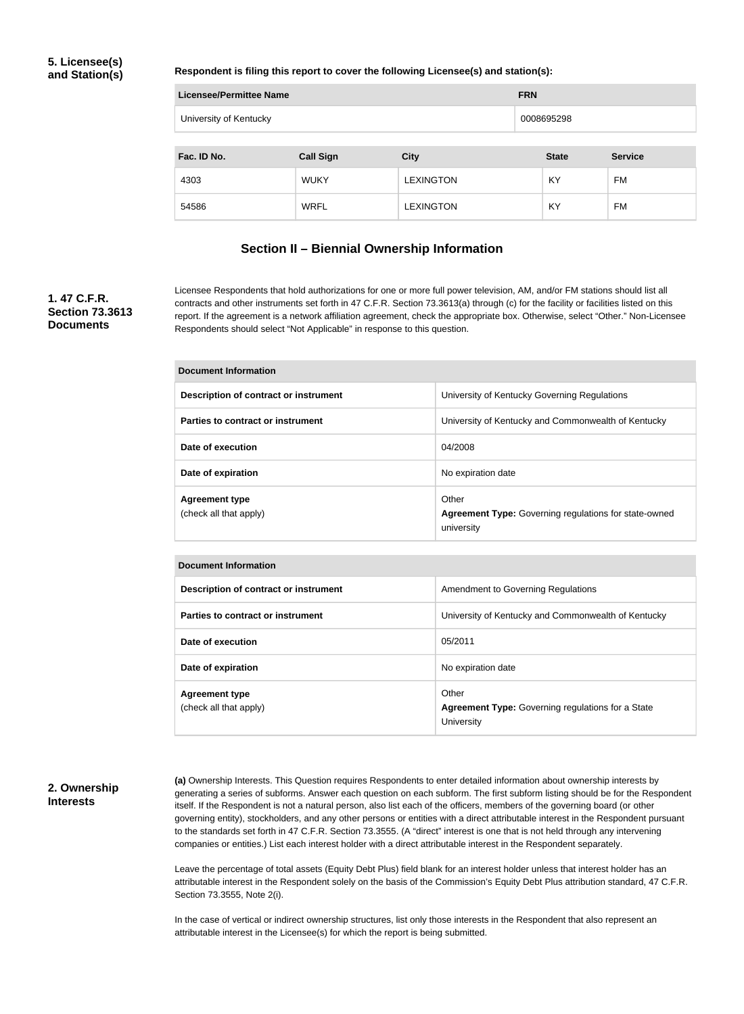#### **5. Licensee(s) and Station(s)**

#### **Respondent is filing this report to cover the following Licensee(s) and station(s):**

| Licensee/Permittee Name | <b>FRN</b>       |                  |              |                |  |
|-------------------------|------------------|------------------|--------------|----------------|--|
| University of Kentucky  |                  |                  | 0008695298   |                |  |
|                         |                  |                  |              |                |  |
| Fac. ID No.             | <b>Call Sign</b> | <b>City</b>      | <b>State</b> | <b>Service</b> |  |
| 4303                    | <b>WUKY</b>      | <b>LEXINGTON</b> | KY           | FM             |  |
| 54586                   | <b>WRFL</b>      | LEXINGTON        | KY           | FM             |  |

#### **Section II – Biennial Ownership Information**

#### **1. 47 C.F.R. Section 73.3613 Documents**

Licensee Respondents that hold authorizations for one or more full power television, AM, and/or FM stations should list all contracts and other instruments set forth in 47 C.F.R. Section 73.3613(a) through (c) for the facility or facilities listed on this report. If the agreement is a network affiliation agreement, check the appropriate box. Otherwise, select "Other." Non-Licensee Respondents should select "Not Applicable" in response to this question.

| Document Information                            |                                                                                     |  |  |  |
|-------------------------------------------------|-------------------------------------------------------------------------------------|--|--|--|
| Description of contract or instrument           | University of Kentucky Governing Regulations                                        |  |  |  |
| Parties to contract or instrument               | University of Kentucky and Commonwealth of Kentucky                                 |  |  |  |
| Date of execution                               | 04/2008                                                                             |  |  |  |
| Date of expiration                              | No expiration date                                                                  |  |  |  |
| <b>Agreement type</b><br>(check all that apply) | Other<br><b>Agreement Type: Governing regulations for state-owned</b><br>university |  |  |  |

| <b>Document Information</b>                     |                                                                                 |  |  |  |  |
|-------------------------------------------------|---------------------------------------------------------------------------------|--|--|--|--|
| Description of contract or instrument           | Amendment to Governing Regulations                                              |  |  |  |  |
| Parties to contract or instrument               | University of Kentucky and Commonwealth of Kentucky                             |  |  |  |  |
| Date of execution                               | 05/2011                                                                         |  |  |  |  |
| Date of expiration                              | No expiration date                                                              |  |  |  |  |
| <b>Agreement type</b><br>(check all that apply) | Other<br><b>Agreement Type:</b> Governing regulations for a State<br>University |  |  |  |  |

#### **2. Ownership Interests**

**(a)** Ownership Interests. This Question requires Respondents to enter detailed information about ownership interests by generating a series of subforms. Answer each question on each subform. The first subform listing should be for the Respondent itself. If the Respondent is not a natural person, also list each of the officers, members of the governing board (or other governing entity), stockholders, and any other persons or entities with a direct attributable interest in the Respondent pursuant to the standards set forth in 47 C.F.R. Section 73.3555. (A "direct" interest is one that is not held through any intervening companies or entities.) List each interest holder with a direct attributable interest in the Respondent separately.

Leave the percentage of total assets (Equity Debt Plus) field blank for an interest holder unless that interest holder has an attributable interest in the Respondent solely on the basis of the Commission's Equity Debt Plus attribution standard, 47 C.F.R. Section 73.3555, Note 2(i).

In the case of vertical or indirect ownership structures, list only those interests in the Respondent that also represent an attributable interest in the Licensee(s) for which the report is being submitted.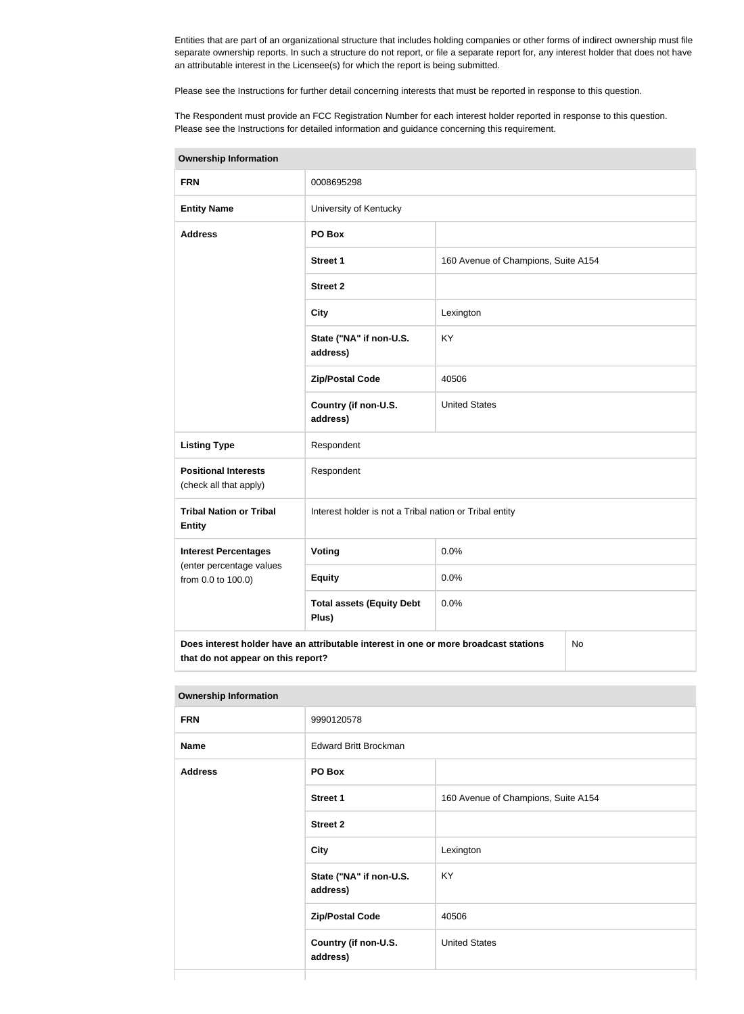Entities that are part of an organizational structure that includes holding companies or other forms of indirect ownership must file separate ownership reports. In such a structure do not report, or file a separate report for, any interest holder that does not have an attributable interest in the Licensee(s) for which the report is being submitted.

Please see the Instructions for further detail concerning interests that must be reported in response to this question.

The Respondent must provide an FCC Registration Number for each interest holder reported in response to this question. Please see the Instructions for detailed information and guidance concerning this requirement.

| <b>Ownership Information</b>                                                                                                     |                                                         |                                     |  |  |  |
|----------------------------------------------------------------------------------------------------------------------------------|---------------------------------------------------------|-------------------------------------|--|--|--|
| <b>FRN</b>                                                                                                                       | 0008695298                                              |                                     |  |  |  |
| <b>Entity Name</b>                                                                                                               | University of Kentucky                                  |                                     |  |  |  |
| <b>Address</b>                                                                                                                   | PO Box                                                  |                                     |  |  |  |
|                                                                                                                                  | <b>Street 1</b>                                         | 160 Avenue of Champions, Suite A154 |  |  |  |
|                                                                                                                                  | <b>Street 2</b>                                         |                                     |  |  |  |
|                                                                                                                                  | <b>City</b>                                             | Lexington                           |  |  |  |
|                                                                                                                                  | State ("NA" if non-U.S.<br>address)                     | KY                                  |  |  |  |
|                                                                                                                                  | <b>Zip/Postal Code</b>                                  | 40506                               |  |  |  |
|                                                                                                                                  | Country (if non-U.S.<br>address)                        | <b>United States</b>                |  |  |  |
| <b>Listing Type</b>                                                                                                              | Respondent                                              |                                     |  |  |  |
| <b>Positional Interests</b><br>(check all that apply)                                                                            | Respondent                                              |                                     |  |  |  |
| <b>Tribal Nation or Tribal</b><br><b>Entity</b>                                                                                  | Interest holder is not a Tribal nation or Tribal entity |                                     |  |  |  |
| <b>Interest Percentages</b>                                                                                                      | <b>Voting</b>                                           | 0.0%                                |  |  |  |
| (enter percentage values<br>from 0.0 to 100.0)                                                                                   | <b>Equity</b>                                           | 0.0%                                |  |  |  |
|                                                                                                                                  | <b>Total assets (Equity Debt</b><br>Plus)               | 0.0%                                |  |  |  |
| Does interest holder have an attributable interest in one or more broadcast stations<br>No<br>that do not appear on this report? |                                                         |                                     |  |  |  |

| <b>Ownership Information</b> |                                     |                                     |  |
|------------------------------|-------------------------------------|-------------------------------------|--|
| <b>FRN</b>                   | 9990120578                          |                                     |  |
| <b>Name</b>                  | <b>Edward Britt Brockman</b>        |                                     |  |
| <b>Address</b>               | PO Box                              |                                     |  |
|                              | <b>Street 1</b>                     | 160 Avenue of Champions, Suite A154 |  |
|                              | <b>Street 2</b>                     |                                     |  |
|                              | <b>City</b>                         | Lexington                           |  |
|                              | State ("NA" if non-U.S.<br>address) | KY                                  |  |
|                              | <b>Zip/Postal Code</b>              | 40506                               |  |
|                              | Country (if non-U.S.<br>address)    | <b>United States</b>                |  |
|                              |                                     |                                     |  |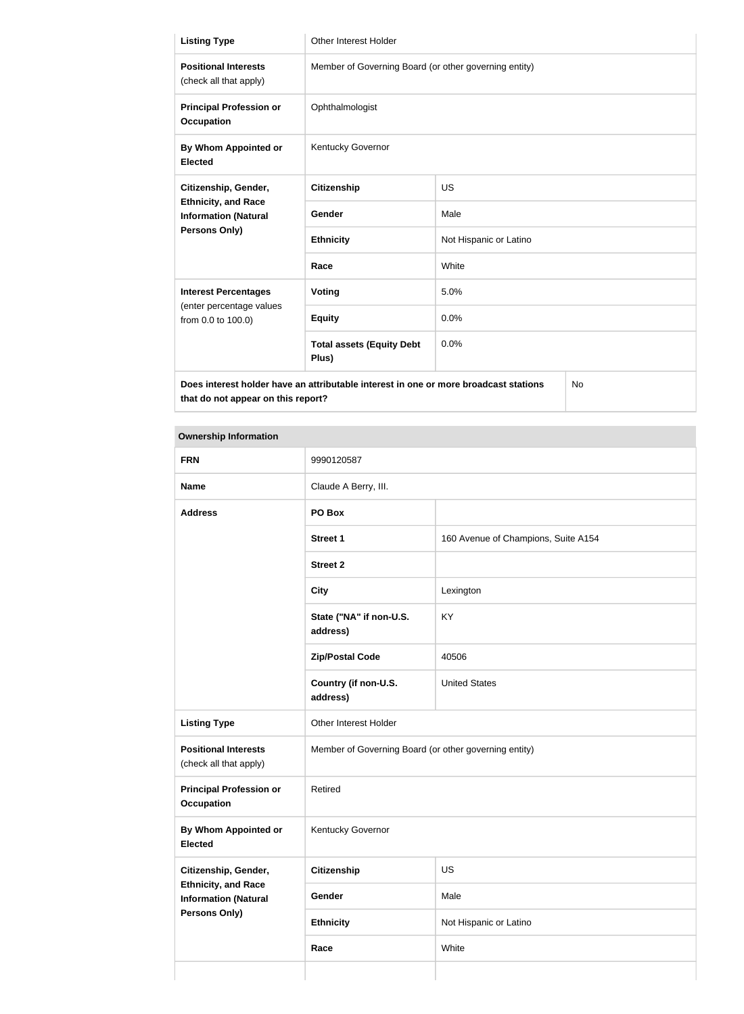| <b>Listing Type</b>                                                                        | Other Interest Holder                                 |                        |  |  |
|--------------------------------------------------------------------------------------------|-------------------------------------------------------|------------------------|--|--|
| <b>Positional Interests</b><br>(check all that apply)                                      | Member of Governing Board (or other governing entity) |                        |  |  |
| <b>Principal Profession or</b><br><b>Occupation</b>                                        | Ophthalmologist                                       |                        |  |  |
| By Whom Appointed or<br><b>Elected</b>                                                     | Kentucky Governor                                     |                        |  |  |
| Citizenship, Gender,                                                                       | <b>Citizenship</b>                                    | <b>US</b>              |  |  |
| <b>Ethnicity, and Race</b><br><b>Information (Natural</b>                                  | <b>Gender</b>                                         | Male                   |  |  |
| Persons Only)                                                                              | <b>Ethnicity</b>                                      | Not Hispanic or Latino |  |  |
|                                                                                            | Race                                                  | White                  |  |  |
| <b>Interest Percentages</b>                                                                | <b>Voting</b>                                         | 5.0%                   |  |  |
| (enter percentage values<br>from 0.0 to 100.0)                                             | <b>Equity</b>                                         | 0.0%                   |  |  |
|                                                                                            | <b>Total assets (Equity Debt</b><br>Plus)             | 0.0%                   |  |  |
| Does interest holder have an attributable interest in one or more broadcast stations<br>No |                                                       |                        |  |  |

# **Ownership Information FRN** 9990120587 **Name** Claude A Berry, III. **Address PO Box Street 1** 160 Avenue of Champions, Suite A154 **Street 2 City** Lexington **State ("NA" if non-U.S. address)** KY **Zip/Postal Code** 40506 **Country (if non-U.S. address)** United States Listing Type **Conservant Conservant Conservant Conservant Conservant Conservant Conservant Conservant Conservant Positional Interests** (check all that apply) Member of Governing Board (or other governing entity) **Principal Profession or Occupation** Retired **By Whom Appointed or Elected** Kentucky Governor **Citizenship, Gender, Ethnicity, and Race Information (Natural Persons Only) Citizenship** US Gender Male **Ethnicity** Not Hispanic or Latino **Race** White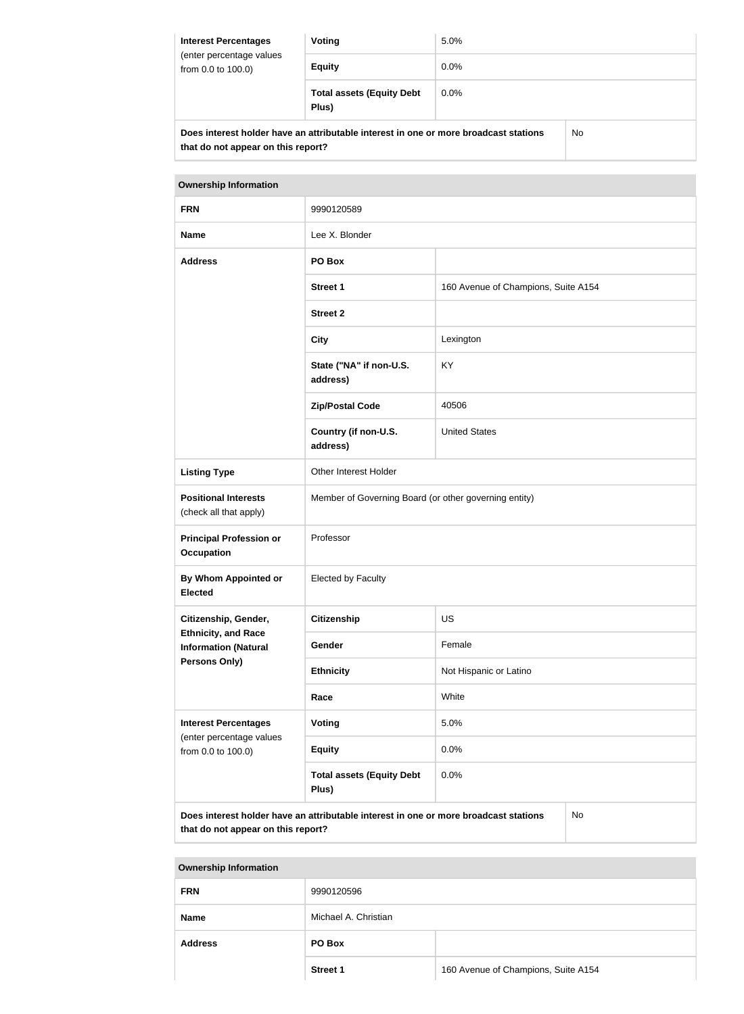| <b>Interest Percentages</b><br>(enter percentage values<br>from 0.0 to 100.0) | Voting                                                                               | 5.0%    |    |
|-------------------------------------------------------------------------------|--------------------------------------------------------------------------------------|---------|----|
|                                                                               | <b>Equity</b>                                                                        | $0.0\%$ |    |
|                                                                               | <b>Total assets (Equity Debt</b><br>Plus)                                            | $0.0\%$ |    |
|                                                                               | Does interest holder have an attributable interest in one or more broadcast stations |         | No |

| <b>Ownership Information</b>                                                               |                                                       |                                     |  |  |  |
|--------------------------------------------------------------------------------------------|-------------------------------------------------------|-------------------------------------|--|--|--|
| <b>FRN</b>                                                                                 | 9990120589                                            |                                     |  |  |  |
| <b>Name</b>                                                                                | Lee X. Blonder                                        |                                     |  |  |  |
| <b>Address</b>                                                                             | PO Box                                                |                                     |  |  |  |
|                                                                                            | <b>Street 1</b>                                       | 160 Avenue of Champions, Suite A154 |  |  |  |
|                                                                                            | <b>Street 2</b>                                       |                                     |  |  |  |
|                                                                                            | <b>City</b>                                           | Lexington                           |  |  |  |
|                                                                                            | State ("NA" if non-U.S.<br>address)                   | KY                                  |  |  |  |
|                                                                                            | <b>Zip/Postal Code</b>                                | 40506                               |  |  |  |
|                                                                                            | Country (if non-U.S.<br>address)                      | <b>United States</b>                |  |  |  |
| <b>Listing Type</b>                                                                        | Other Interest Holder                                 |                                     |  |  |  |
| <b>Positional Interests</b><br>(check all that apply)                                      | Member of Governing Board (or other governing entity) |                                     |  |  |  |
| <b>Principal Profession or</b><br><b>Occupation</b>                                        | Professor                                             |                                     |  |  |  |
| <b>By Whom Appointed or</b><br><b>Elected</b>                                              | <b>Elected by Faculty</b>                             |                                     |  |  |  |
| Citizenship, Gender,                                                                       | <b>Citizenship</b>                                    | <b>US</b>                           |  |  |  |
| <b>Ethnicity, and Race</b><br><b>Information (Natural</b>                                  | Gender                                                | Female                              |  |  |  |
| Persons Only)                                                                              | <b>Ethnicity</b>                                      | Not Hispanic or Latino              |  |  |  |
|                                                                                            | White<br>Race                                         |                                     |  |  |  |
| <b>Interest Percentages</b><br>(enter percentage values                                    | Voting                                                | 5.0%                                |  |  |  |
| from 0.0 to 100.0)                                                                         | <b>Equity</b>                                         | 0.0%                                |  |  |  |
|                                                                                            | <b>Total assets (Equity Debt</b><br>Plus)             | 0.0%                                |  |  |  |
| Does interest holder have an attributable interest in one or more broadcast stations<br>No |                                                       |                                     |  |  |  |

**that do not appear on this report?**

No

**Ownership Information FRN** 9990120596 **Name** Michael A. Christian **Address PO Box Street 1** 160 Avenue of Champions, Suite A154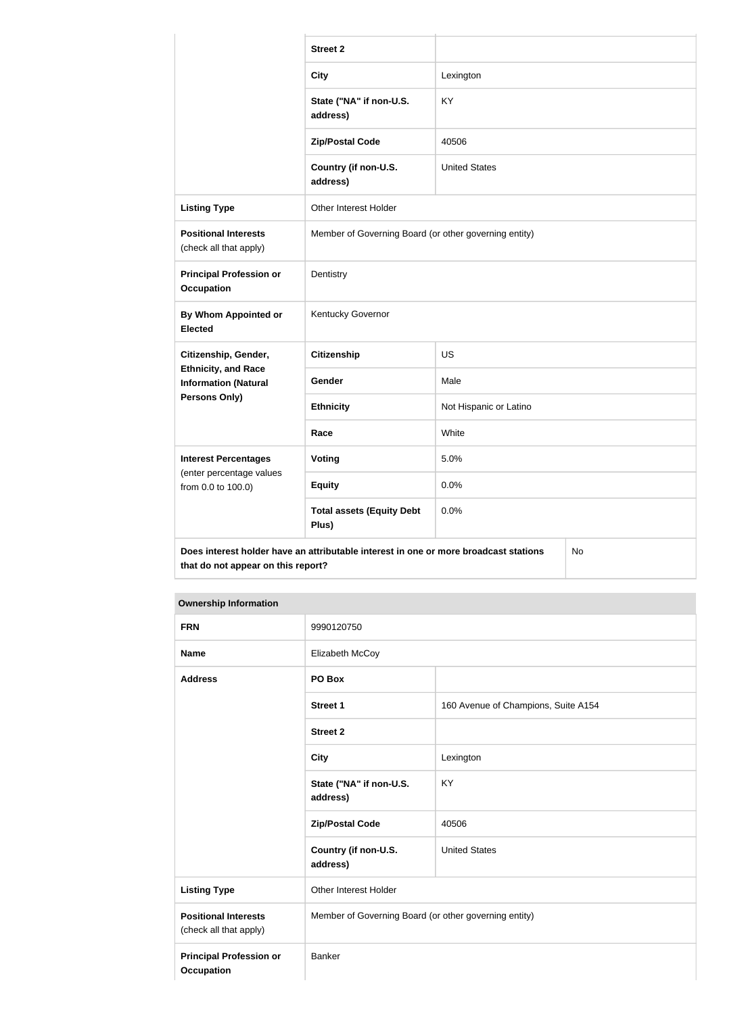|                                                                                                                                  | <b>Street 2</b>                                       |                        |  |
|----------------------------------------------------------------------------------------------------------------------------------|-------------------------------------------------------|------------------------|--|
|                                                                                                                                  | <b>City</b>                                           | Lexington              |  |
|                                                                                                                                  | State ("NA" if non-U.S.<br>address)                   | <b>KY</b>              |  |
|                                                                                                                                  | <b>Zip/Postal Code</b>                                | 40506                  |  |
|                                                                                                                                  | Country (if non-U.S.<br>address)                      | <b>United States</b>   |  |
| <b>Listing Type</b>                                                                                                              | Other Interest Holder                                 |                        |  |
| <b>Positional Interests</b><br>(check all that apply)                                                                            | Member of Governing Board (or other governing entity) |                        |  |
| <b>Principal Profession or</b><br><b>Occupation</b>                                                                              | Dentistry                                             |                        |  |
| By Whom Appointed or<br><b>Elected</b>                                                                                           | Kentucky Governor                                     |                        |  |
| Citizenship, Gender,                                                                                                             | <b>Citizenship</b>                                    | <b>US</b>              |  |
| <b>Ethnicity, and Race</b><br><b>Information (Natural</b>                                                                        | Gender                                                | Male                   |  |
| <b>Persons Only)</b>                                                                                                             | <b>Ethnicity</b>                                      | Not Hispanic or Latino |  |
|                                                                                                                                  | Race                                                  | White                  |  |
| <b>Interest Percentages</b><br>(enter percentage values                                                                          | <b>Voting</b>                                         | 5.0%                   |  |
| from 0.0 to 100.0)                                                                                                               | <b>Equity</b>                                         | 0.0%                   |  |
|                                                                                                                                  | <b>Total assets (Equity Debt</b><br>Plus)             | 0.0%                   |  |
| Does interest holder have an attributable interest in one or more broadcast stations<br>No<br>that do not appear on this report? |                                                       |                        |  |

| <b>FRN</b>                                            | 9990120750                                            |                                     |
|-------------------------------------------------------|-------------------------------------------------------|-------------------------------------|
| <b>Name</b>                                           | Elizabeth McCoy                                       |                                     |
| <b>Address</b>                                        | PO Box                                                |                                     |
|                                                       | <b>Street 1</b>                                       | 160 Avenue of Champions, Suite A154 |
|                                                       | <b>Street 2</b>                                       |                                     |
|                                                       | <b>City</b>                                           | Lexington                           |
|                                                       | State ("NA" if non-U.S.<br>address)                   | KY                                  |
|                                                       | <b>Zip/Postal Code</b>                                | 40506                               |
|                                                       | Country (if non-U.S.<br>address)                      | <b>United States</b>                |
| <b>Listing Type</b>                                   | Other Interest Holder                                 |                                     |
| <b>Positional Interests</b><br>(check all that apply) | Member of Governing Board (or other governing entity) |                                     |
| <b>Principal Profession or</b><br><b>Occupation</b>   | <b>Banker</b>                                         |                                     |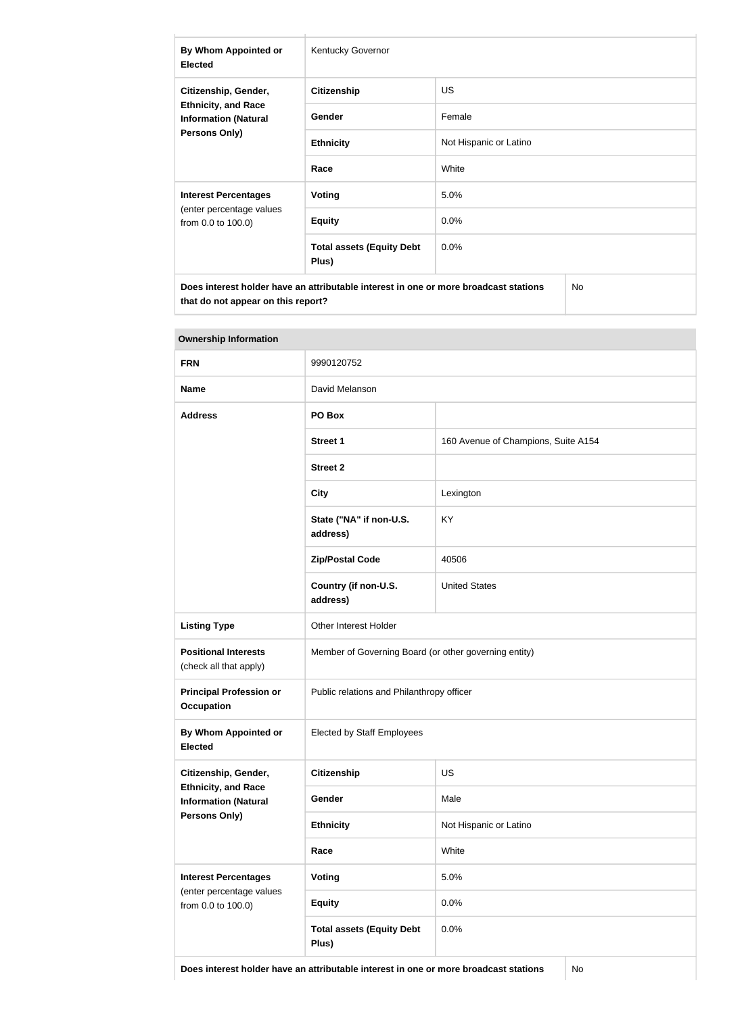| By Whom Appointed or<br><b>Elected</b>                                                                    | <b>Kentucky Governor</b>                  |                        |  |
|-----------------------------------------------------------------------------------------------------------|-------------------------------------------|------------------------|--|
| Citizenship, Gender,<br><b>Ethnicity, and Race</b><br><b>Information (Natural</b><br><b>Persons Only)</b> | <b>Citizenship</b>                        | US.                    |  |
|                                                                                                           | Gender                                    | Female                 |  |
|                                                                                                           | <b>Ethnicity</b>                          | Not Hispanic or Latino |  |
|                                                                                                           | Race                                      | White                  |  |
| <b>Interest Percentages</b>                                                                               | Voting                                    | 5.0%                   |  |
| (enter percentage values<br>from 0.0 to 100.0)                                                            | <b>Equity</b>                             | 0.0%                   |  |
|                                                                                                           | <b>Total assets (Equity Debt</b><br>Plus) | 0.0%                   |  |
| Does interest holder have an attributable interest in one or more broadcast stations<br>No                |                                           |                        |  |

| <b>Ownership Information</b>                              |                                                       |                                     |  |
|-----------------------------------------------------------|-------------------------------------------------------|-------------------------------------|--|
| <b>FRN</b>                                                | 9990120752                                            |                                     |  |
| <b>Name</b>                                               | David Melanson                                        |                                     |  |
| <b>Address</b>                                            | PO Box                                                |                                     |  |
|                                                           | <b>Street 1</b>                                       | 160 Avenue of Champions, Suite A154 |  |
|                                                           | <b>Street 2</b>                                       |                                     |  |
|                                                           | <b>City</b>                                           | Lexington                           |  |
|                                                           | State ("NA" if non-U.S.<br>address)                   | <b>KY</b>                           |  |
|                                                           | <b>Zip/Postal Code</b>                                | 40506                               |  |
|                                                           | Country (if non-U.S.<br>address)                      | <b>United States</b>                |  |
| <b>Listing Type</b>                                       | Other Interest Holder                                 |                                     |  |
| <b>Positional Interests</b><br>(check all that apply)     | Member of Governing Board (or other governing entity) |                                     |  |
| <b>Principal Profession or</b><br><b>Occupation</b>       | Public relations and Philanthropy officer             |                                     |  |
| By Whom Appointed or<br><b>Elected</b>                    | <b>Elected by Staff Employees</b>                     |                                     |  |
| Citizenship, Gender,                                      | <b>Citizenship</b>                                    | <b>US</b>                           |  |
| <b>Ethnicity, and Race</b><br><b>Information (Natural</b> | Gender                                                | Male                                |  |
| <b>Persons Only)</b>                                      | <b>Ethnicity</b>                                      | Not Hispanic or Latino              |  |
|                                                           | Race                                                  | White                               |  |
| <b>Interest Percentages</b>                               | Voting                                                | 5.0%                                |  |
| (enter percentage values<br>from 0.0 to 100.0)            | <b>Equity</b>                                         | 0.0%                                |  |
|                                                           | <b>Total assets (Equity Debt</b><br>Plus)             | 0.0%                                |  |

**Does interest holder have an attributable interest in one or more broadcast stations** No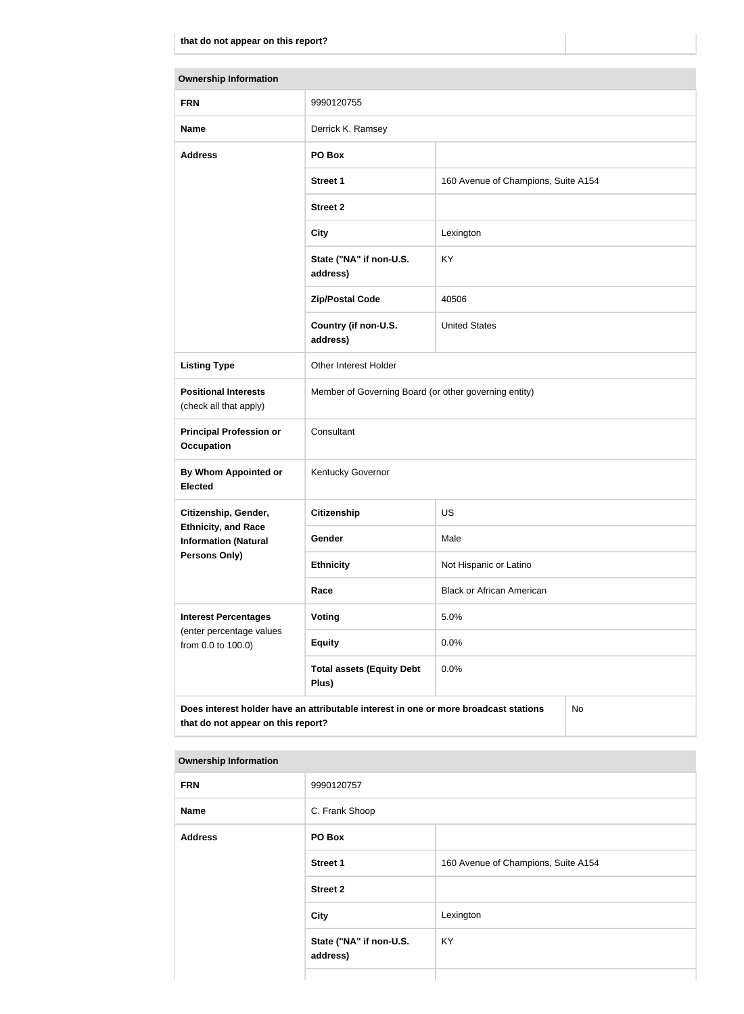| <b>Ownership Information</b>                              |                                                                                      |                                     |           |
|-----------------------------------------------------------|--------------------------------------------------------------------------------------|-------------------------------------|-----------|
| <b>FRN</b>                                                | 9990120755                                                                           |                                     |           |
| <b>Name</b>                                               | Derrick K. Ramsey                                                                    |                                     |           |
| <b>Address</b>                                            | PO Box                                                                               |                                     |           |
|                                                           | <b>Street 1</b>                                                                      | 160 Avenue of Champions, Suite A154 |           |
|                                                           | <b>Street 2</b>                                                                      |                                     |           |
|                                                           | <b>City</b>                                                                          | Lexington                           |           |
|                                                           | State ("NA" if non-U.S.<br>address)                                                  | KY                                  |           |
|                                                           | <b>Zip/Postal Code</b>                                                               | 40506                               |           |
|                                                           | Country (if non-U.S.<br>address)                                                     | <b>United States</b>                |           |
| <b>Listing Type</b>                                       | Other Interest Holder                                                                |                                     |           |
| <b>Positional Interests</b><br>(check all that apply)     | Member of Governing Board (or other governing entity)                                |                                     |           |
| <b>Principal Profession or</b><br><b>Occupation</b>       | Consultant                                                                           |                                     |           |
| By Whom Appointed or<br><b>Elected</b>                    | Kentucky Governor                                                                    |                                     |           |
| Citizenship, Gender,                                      | <b>Citizenship</b>                                                                   | <b>US</b>                           |           |
| <b>Ethnicity, and Race</b><br><b>Information (Natural</b> | Gender                                                                               | Male                                |           |
| Persons Only)                                             | <b>Ethnicity</b>                                                                     | Not Hispanic or Latino              |           |
|                                                           | Race                                                                                 | <b>Black or African American</b>    |           |
| <b>Interest Percentages</b>                               | Voting                                                                               | 5.0%                                |           |
| (enter percentage values<br>from 0.0 to 100.0)            | <b>Equity</b>                                                                        | 0.0%                                |           |
|                                                           | <b>Total assets (Equity Debt</b><br>Plus)                                            | 0.0%                                |           |
| that do not appear on this report?                        | Does interest holder have an attributable interest in one or more broadcast stations |                                     | <b>No</b> |

| <b>FRN</b>     | 9990120757                          |                                     |
|----------------|-------------------------------------|-------------------------------------|
| <b>Name</b>    | C. Frank Shoop                      |                                     |
| <b>Address</b> | PO Box                              |                                     |
|                | <b>Street 1</b>                     | 160 Avenue of Champions, Suite A154 |
|                | <b>Street 2</b>                     |                                     |
|                | City                                | Lexington                           |
|                | State ("NA" if non-U.S.<br>address) | KY                                  |
|                |                                     |                                     |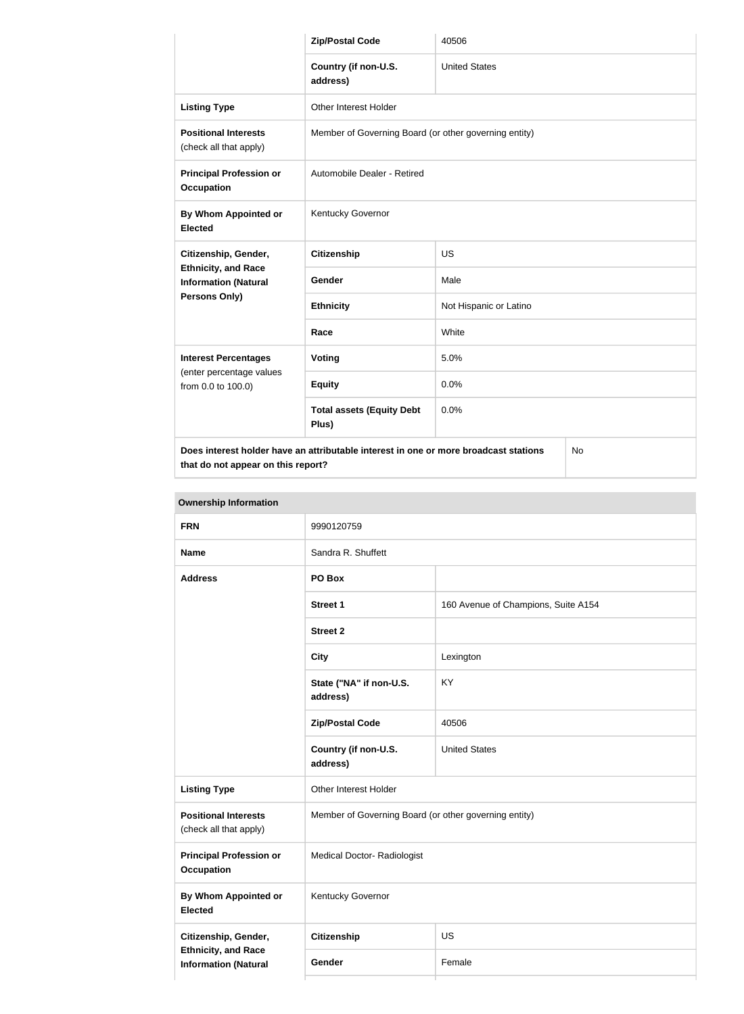|                                                                                            | <b>Zip/Postal Code</b>                                | 40506                  |  |
|--------------------------------------------------------------------------------------------|-------------------------------------------------------|------------------------|--|
|                                                                                            | Country (if non-U.S.<br>address)                      | <b>United States</b>   |  |
| <b>Listing Type</b>                                                                        | <b>Other Interest Holder</b>                          |                        |  |
| <b>Positional Interests</b><br>(check all that apply)                                      | Member of Governing Board (or other governing entity) |                        |  |
| <b>Principal Profession or</b><br><b>Occupation</b>                                        | Automobile Dealer - Retired                           |                        |  |
| By Whom Appointed or<br><b>Elected</b>                                                     | Kentucky Governor                                     |                        |  |
| Citizenship, Gender,                                                                       | <b>Citizenship</b>                                    | <b>US</b>              |  |
| <b>Ethnicity, and Race</b><br><b>Information (Natural</b>                                  | Gender                                                | Male                   |  |
| Persons Only)                                                                              | <b>Ethnicity</b>                                      | Not Hispanic or Latino |  |
|                                                                                            | Race                                                  | White                  |  |
| <b>Interest Percentages</b>                                                                | Voting                                                | 5.0%                   |  |
| (enter percentage values<br>from 0.0 to 100.0)                                             | <b>Equity</b>                                         | 0.0%                   |  |
|                                                                                            | <b>Total assets (Equity Debt</b><br>Plus)             | 0.0%                   |  |
| Does interest holder have an attributable interest in one or more broadcast stations<br>No |                                                       |                        |  |

No

| <b>Ownership Information</b> |
|------------------------------|
|------------------------------|

| <b>FRN</b>                                                | 9990120759                                            |                                     |  |  |
|-----------------------------------------------------------|-------------------------------------------------------|-------------------------------------|--|--|
| <b>Name</b>                                               | Sandra R. Shuffett                                    |                                     |  |  |
| <b>Address</b>                                            | PO Box                                                |                                     |  |  |
|                                                           | <b>Street 1</b>                                       | 160 Avenue of Champions, Suite A154 |  |  |
|                                                           | <b>Street 2</b>                                       |                                     |  |  |
|                                                           | <b>City</b>                                           | Lexington                           |  |  |
|                                                           | State ("NA" if non-U.S.<br>address)                   | KY                                  |  |  |
|                                                           | <b>Zip/Postal Code</b>                                | 40506                               |  |  |
|                                                           | Country (if non-U.S.<br>address)                      | <b>United States</b>                |  |  |
| <b>Listing Type</b>                                       | Other Interest Holder                                 |                                     |  |  |
| <b>Positional Interests</b><br>(check all that apply)     | Member of Governing Board (or other governing entity) |                                     |  |  |
| <b>Principal Profession or</b><br><b>Occupation</b>       | <b>Medical Doctor- Radiologist</b>                    |                                     |  |  |
| <b>By Whom Appointed or</b><br><b>Elected</b>             | Kentucky Governor                                     |                                     |  |  |
| Citizenship, Gender,                                      | <b>Citizenship</b>                                    | US                                  |  |  |
| <b>Ethnicity, and Race</b><br><b>Information (Natural</b> | Gender                                                | Female                              |  |  |
|                                                           |                                                       |                                     |  |  |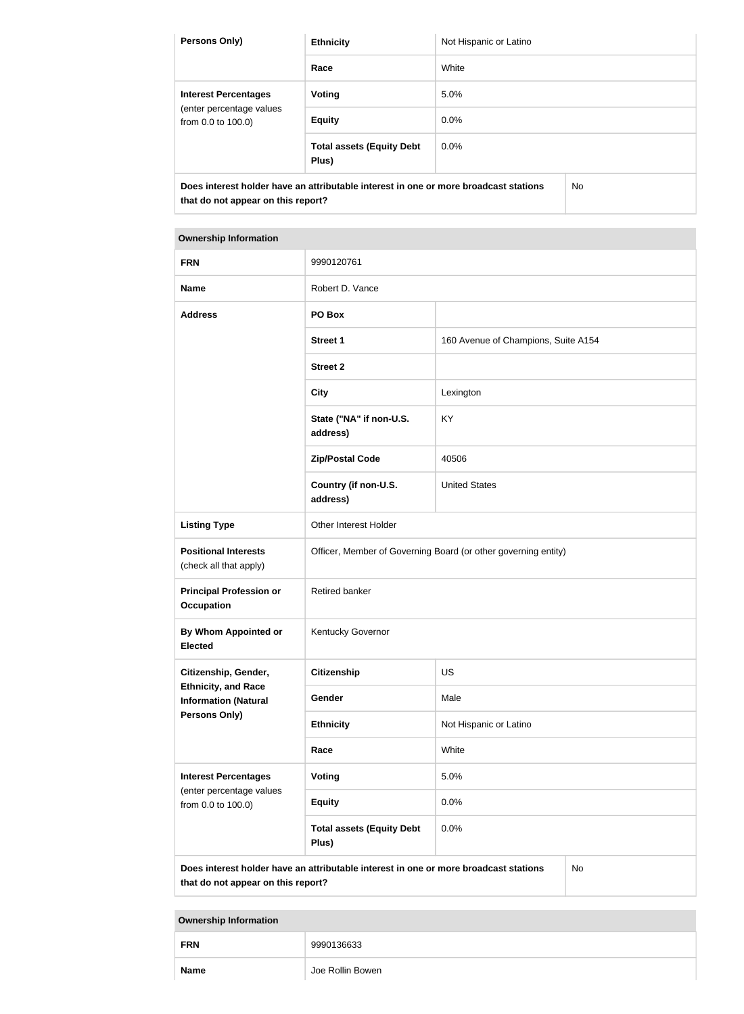| <b>Persons Only)</b>                                                                 | <b>Ethnicity</b>                          | Not Hispanic or Latino |    |
|--------------------------------------------------------------------------------------|-------------------------------------------|------------------------|----|
|                                                                                      | Race                                      | White                  |    |
| <b>Interest Percentages</b><br>(enter percentage values<br>from 0.0 to 100.0)        | Voting                                    | 5.0%                   |    |
|                                                                                      | <b>Equity</b>                             | $0.0\%$                |    |
|                                                                                      | <b>Total assets (Equity Debt</b><br>Plus) | $0.0\%$                |    |
| Does interest holder have an attributable interest in one or more broadcast stations |                                           |                        | No |

# **Ownership Information FRN** 9990120761 **Name** Robert D. Vance **Address PO Box Street 1** 160 Avenue of Champions, Suite A154 **Street 2 City City Lexington State ("NA" if non-U.S. address)** KY **Zip/Postal Code** 40506 **Country (if non-U.S. address)** United States **Listing Type Other Interest Holder Positional Interests** (check all that apply) Officer, Member of Governing Board (or other governing entity) **Principal Profession or Occupation** Retired banker **By Whom Appointed or Elected** Kentucky Governor **Citizenship, Gender, Ethnicity, and Race Information (Natural Persons Only) Citizenship** US Gender Male **Ethnicity** Not Hispanic or Latino **Race** White **Interest Percentages** (enter percentage values from 0.0 to 100.0) **Voting** 5.0% **Equity** 0.0% **Total assets (Equity Debt**  0.0%

**Does interest holder have an attributable interest in one or more broadcast stations that do not appear on this report?**

**Plus)**

No

| <b>FRN</b>  | 9990136633       |
|-------------|------------------|
| <b>Name</b> | Joe Rollin Bowen |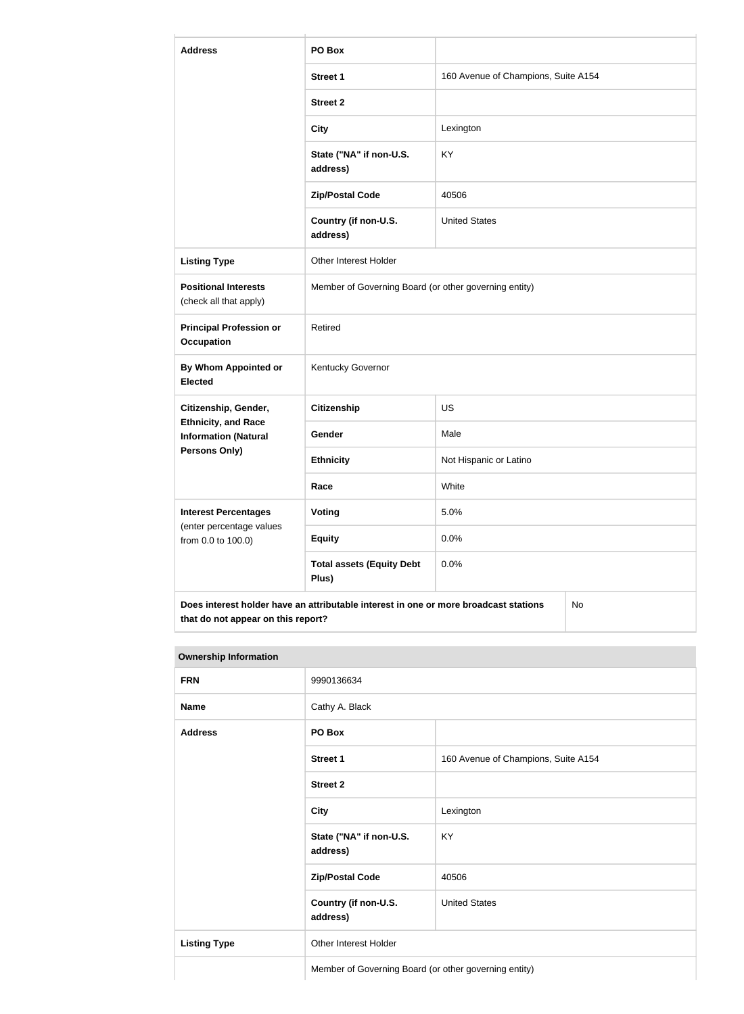| <b>Address</b>                                                                                                                   | PO Box                                                |                                     |  |
|----------------------------------------------------------------------------------------------------------------------------------|-------------------------------------------------------|-------------------------------------|--|
|                                                                                                                                  | <b>Street 1</b>                                       | 160 Avenue of Champions, Suite A154 |  |
|                                                                                                                                  | <b>Street 2</b>                                       |                                     |  |
|                                                                                                                                  | <b>City</b>                                           | Lexington                           |  |
|                                                                                                                                  | State ("NA" if non-U.S.<br>address)                   | <b>KY</b>                           |  |
|                                                                                                                                  | <b>Zip/Postal Code</b>                                | 40506                               |  |
|                                                                                                                                  | Country (if non-U.S.<br>address)                      | <b>United States</b>                |  |
| <b>Listing Type</b>                                                                                                              | Other Interest Holder                                 |                                     |  |
| <b>Positional Interests</b><br>(check all that apply)                                                                            | Member of Governing Board (or other governing entity) |                                     |  |
| <b>Principal Profession or</b><br><b>Occupation</b>                                                                              | Retired                                               |                                     |  |
| By Whom Appointed or<br><b>Elected</b>                                                                                           | Kentucky Governor                                     |                                     |  |
| Citizenship, Gender,                                                                                                             | <b>Citizenship</b>                                    | <b>US</b>                           |  |
| <b>Ethnicity, and Race</b><br><b>Information (Natural</b>                                                                        | Gender                                                | Male                                |  |
| <b>Persons Only)</b>                                                                                                             | <b>Ethnicity</b>                                      | Not Hispanic or Latino              |  |
|                                                                                                                                  | Race                                                  | White                               |  |
| <b>Interest Percentages</b><br>(enter percentage values                                                                          | Voting                                                | 5.0%                                |  |
| from 0.0 to 100.0)                                                                                                               | <b>Equity</b>                                         | 0.0%                                |  |
|                                                                                                                                  | <b>Total assets (Equity Debt</b><br>Plus)             | 0.0%                                |  |
| Does interest holder have an attributable interest in one or more broadcast stations<br>No<br>that do not appear on this report? |                                                       |                                     |  |

 $\mathbb{L}$ 

| <b>FRN</b>          | 9990136634                                            |                                     |
|---------------------|-------------------------------------------------------|-------------------------------------|
| <b>Name</b>         | Cathy A. Black                                        |                                     |
| <b>Address</b>      | PO Box                                                |                                     |
|                     | Street 1                                              | 160 Avenue of Champions, Suite A154 |
|                     | <b>Street 2</b>                                       |                                     |
|                     | <b>City</b>                                           | Lexington                           |
|                     | State ("NA" if non-U.S.<br>address)                   | KY                                  |
|                     | <b>Zip/Postal Code</b>                                | 40506                               |
|                     | Country (if non-U.S.<br>address)                      | <b>United States</b>                |
| <b>Listing Type</b> | Other Interest Holder                                 |                                     |
|                     | Member of Governing Board (or other governing entity) |                                     |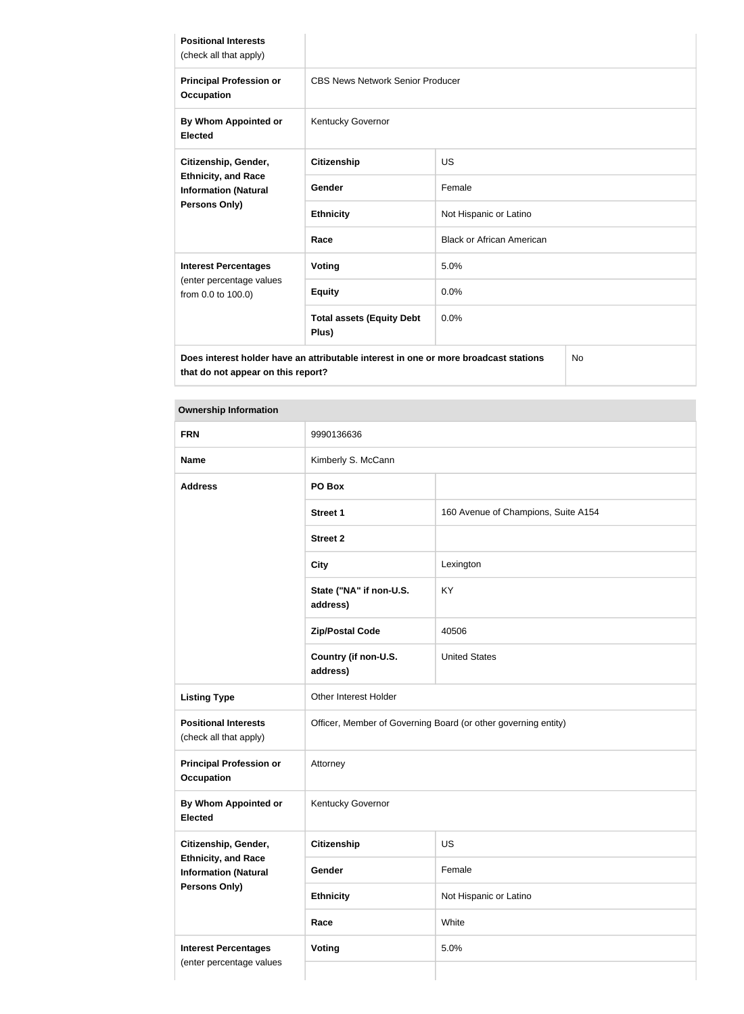| <b>Positional Interests</b><br>(check all that apply)                                             |                                           |                                  |  |
|---------------------------------------------------------------------------------------------------|-------------------------------------------|----------------------------------|--|
| <b>Principal Profession or</b><br><b>Occupation</b>                                               | <b>CBS News Network Senior Producer</b>   |                                  |  |
| By Whom Appointed or<br><b>Elected</b>                                                            | Kentucky Governor                         |                                  |  |
| Citizenship, Gender,                                                                              | <b>Citizenship</b>                        | <b>US</b>                        |  |
| <b>Ethnicity, and Race</b><br><b>Information (Natural</b>                                         | <b>Gender</b>                             | Female                           |  |
| <b>Persons Only)</b>                                                                              | <b>Ethnicity</b>                          | Not Hispanic or Latino           |  |
|                                                                                                   | Race                                      | <b>Black or African American</b> |  |
| <b>Interest Percentages</b>                                                                       | <b>Voting</b>                             | 5.0%                             |  |
| (enter percentage values<br>from 0.0 to 100.0)                                                    | <b>Equity</b>                             | 0.0%                             |  |
|                                                                                                   | <b>Total assets (Equity Debt</b><br>Plus) | 0.0%                             |  |
| Does interest holder have an attributable interest in one or more broadcast stations<br><b>No</b> |                                           |                                  |  |

| <b>Ownership Information</b>                              |                                                                |                                     |  |
|-----------------------------------------------------------|----------------------------------------------------------------|-------------------------------------|--|
| <b>FRN</b>                                                | 9990136636                                                     |                                     |  |
| <b>Name</b>                                               | Kimberly S. McCann                                             |                                     |  |
| <b>Address</b>                                            | PO Box                                                         |                                     |  |
|                                                           | <b>Street 1</b>                                                | 160 Avenue of Champions, Suite A154 |  |
|                                                           | <b>Street 2</b>                                                |                                     |  |
|                                                           | <b>City</b>                                                    | Lexington                           |  |
|                                                           | State ("NA" if non-U.S.<br>address)                            | KY                                  |  |
|                                                           | <b>Zip/Postal Code</b>                                         | 40506                               |  |
|                                                           | Country (if non-U.S.<br>address)                               | <b>United States</b>                |  |
| <b>Listing Type</b>                                       | Other Interest Holder                                          |                                     |  |
| <b>Positional Interests</b><br>(check all that apply)     | Officer, Member of Governing Board (or other governing entity) |                                     |  |
| <b>Principal Profession or</b><br><b>Occupation</b>       | Attorney                                                       |                                     |  |
| By Whom Appointed or<br><b>Elected</b>                    | Kentucky Governor                                              |                                     |  |
| Citizenship, Gender,                                      | <b>Citizenship</b>                                             | <b>US</b>                           |  |
| <b>Ethnicity, and Race</b><br><b>Information (Natural</b> | Gender                                                         | Female                              |  |
| <b>Persons Only)</b>                                      | <b>Ethnicity</b>                                               | Not Hispanic or Latino              |  |
|                                                           | Race                                                           | White                               |  |
| <b>Interest Percentages</b>                               | <b>Voting</b>                                                  | 5.0%                                |  |
| (enter percentage values                                  |                                                                |                                     |  |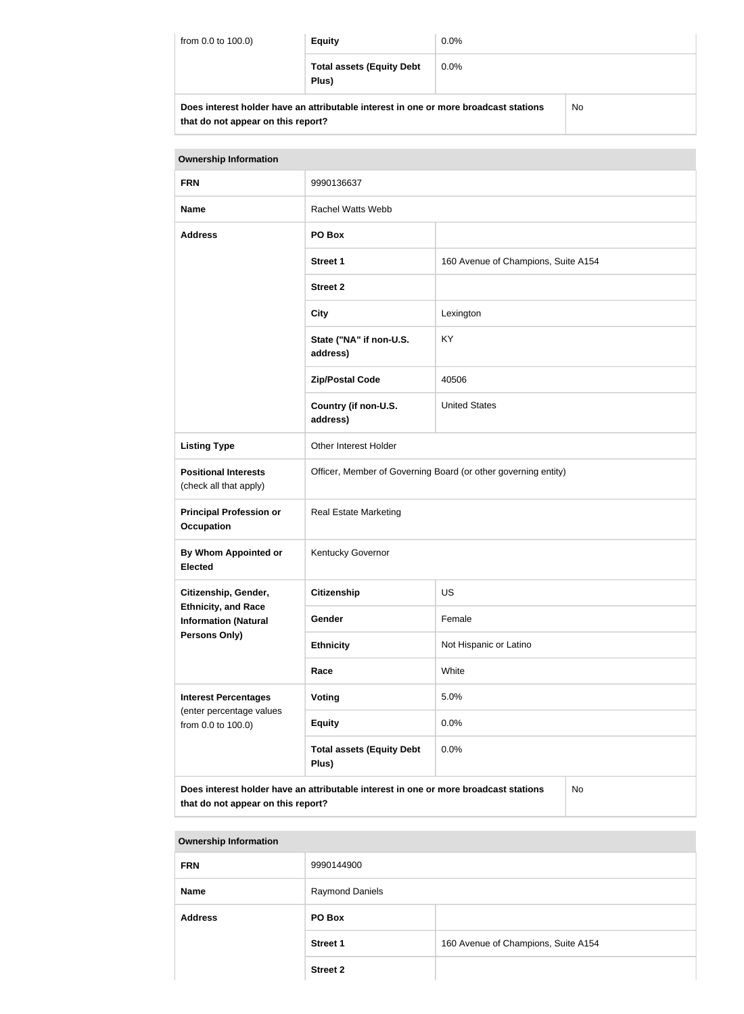| from 0.0 to 100.0)                                                                                                         | <b>Equity</b>                             | $0.0\%$ |           |
|----------------------------------------------------------------------------------------------------------------------------|-------------------------------------------|---------|-----------|
|                                                                                                                            | <b>Total assets (Equity Debt</b><br>Plus) | $0.0\%$ |           |
| Does interest holder have an attributable interest in one or more broadcast stations<br>that do not appear on this report? |                                           |         | <b>No</b> |

| <b>Ownership Information</b>                                                                                                     |                                                                |                                     |  |
|----------------------------------------------------------------------------------------------------------------------------------|----------------------------------------------------------------|-------------------------------------|--|
| <b>FRN</b>                                                                                                                       | 9990136637                                                     |                                     |  |
| <b>Name</b>                                                                                                                      | <b>Rachel Watts Webb</b>                                       |                                     |  |
| <b>Address</b>                                                                                                                   | PO Box                                                         |                                     |  |
|                                                                                                                                  | <b>Street 1</b>                                                | 160 Avenue of Champions, Suite A154 |  |
|                                                                                                                                  | <b>Street 2</b>                                                |                                     |  |
|                                                                                                                                  | <b>City</b>                                                    | Lexington                           |  |
|                                                                                                                                  | State ("NA" if non-U.S.<br>address)                            | <b>KY</b>                           |  |
|                                                                                                                                  | <b>Zip/Postal Code</b>                                         | 40506                               |  |
|                                                                                                                                  | Country (if non-U.S.<br>address)                               | <b>United States</b>                |  |
| <b>Listing Type</b>                                                                                                              | Other Interest Holder                                          |                                     |  |
| <b>Positional Interests</b><br>(check all that apply)                                                                            | Officer, Member of Governing Board (or other governing entity) |                                     |  |
| <b>Principal Profession or</b><br><b>Occupation</b>                                                                              | <b>Real Estate Marketing</b>                                   |                                     |  |
| <b>By Whom Appointed or</b><br><b>Elected</b>                                                                                    | Kentucky Governor                                              |                                     |  |
| Citizenship, Gender,                                                                                                             | <b>Citizenship</b>                                             | <b>US</b>                           |  |
| <b>Ethnicity, and Race</b><br><b>Information (Natural</b>                                                                        | Gender                                                         | Female                              |  |
| Persons Only)                                                                                                                    | <b>Ethnicity</b>                                               | Not Hispanic or Latino              |  |
|                                                                                                                                  | Race                                                           | White                               |  |
| <b>Interest Percentages</b><br>(enter percentage values                                                                          | <b>Voting</b>                                                  | 5.0%                                |  |
| from 0.0 to 100.0)                                                                                                               | <b>Equity</b>                                                  | 0.0%                                |  |
|                                                                                                                                  | <b>Total assets (Equity Debt</b><br>Plus)                      | 0.0%                                |  |
| Does interest holder have an attributable interest in one or more broadcast stations<br>No<br>that do not appear on this report? |                                                                |                                     |  |

| <b>FRN</b>     | 9990144900             |                                     |
|----------------|------------------------|-------------------------------------|
| <b>Name</b>    | <b>Raymond Daniels</b> |                                     |
| <b>Address</b> | PO Box                 |                                     |
|                | <b>Street 1</b>        | 160 Avenue of Champions, Suite A154 |
|                | <b>Street 2</b>        |                                     |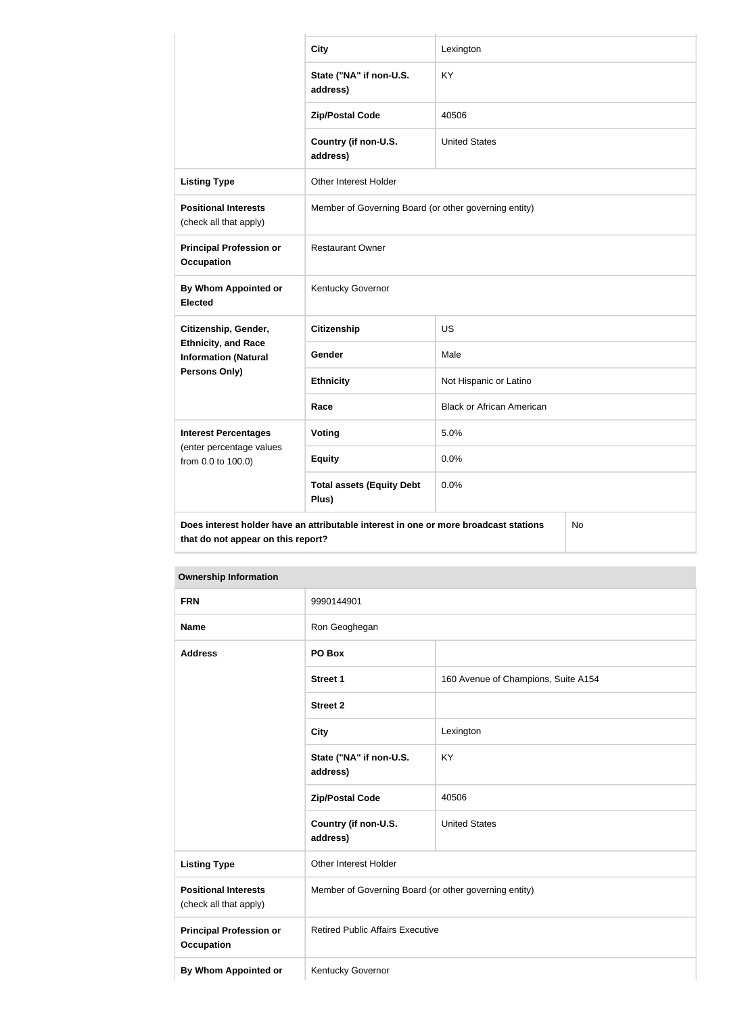|                                                           | <b>City</b>                                                                          | Lexington                        |    |
|-----------------------------------------------------------|--------------------------------------------------------------------------------------|----------------------------------|----|
|                                                           | State ("NA" if non-U.S.<br>address)                                                  | <b>KY</b>                        |    |
|                                                           | <b>Zip/Postal Code</b>                                                               | 40506                            |    |
|                                                           | Country (if non-U.S.<br>address)                                                     | <b>United States</b>             |    |
| <b>Listing Type</b>                                       | <b>Other Interest Holder</b>                                                         |                                  |    |
| <b>Positional Interests</b><br>(check all that apply)     | Member of Governing Board (or other governing entity)                                |                                  |    |
| <b>Principal Profession or</b><br><b>Occupation</b>       | <b>Restaurant Owner</b>                                                              |                                  |    |
| <b>By Whom Appointed or</b><br><b>Elected</b>             | Kentucky Governor                                                                    |                                  |    |
| Citizenship, Gender,                                      | <b>Citizenship</b>                                                                   | <b>US</b>                        |    |
| <b>Ethnicity, and Race</b><br><b>Information (Natural</b> | Gender                                                                               | Male                             |    |
| Persons Only)                                             | <b>Ethnicity</b>                                                                     | Not Hispanic or Latino           |    |
|                                                           | Race                                                                                 | <b>Black or African American</b> |    |
| <b>Interest Percentages</b>                               | <b>Voting</b>                                                                        | 5.0%                             |    |
| (enter percentage values<br>from 0.0 to 100.0)            | <b>Equity</b>                                                                        | 0.0%                             |    |
|                                                           | <b>Total assets (Equity Debt</b><br>Plus)                                            | 0.0%                             |    |
| that do not appear on this report?                        | Does interest holder have an attributable interest in one or more broadcast stations |                                  | No |

| <b>Ownership Information</b>                          |                                                       |                                     |  |
|-------------------------------------------------------|-------------------------------------------------------|-------------------------------------|--|
| <b>FRN</b>                                            | 9990144901                                            |                                     |  |
| <b>Name</b>                                           | Ron Geoghegan                                         |                                     |  |
| <b>Address</b>                                        | PO Box                                                |                                     |  |
|                                                       | <b>Street 1</b>                                       | 160 Avenue of Champions, Suite A154 |  |
|                                                       | <b>Street 2</b>                                       |                                     |  |
|                                                       | <b>City</b>                                           | Lexington                           |  |
|                                                       | State ("NA" if non-U.S.<br>address)                   | KY                                  |  |
|                                                       | <b>Zip/Postal Code</b>                                | 40506                               |  |
|                                                       | Country (if non-U.S.<br>address)                      | <b>United States</b>                |  |
| <b>Listing Type</b>                                   | Other Interest Holder                                 |                                     |  |
| <b>Positional Interests</b><br>(check all that apply) | Member of Governing Board (or other governing entity) |                                     |  |
| <b>Principal Profession or</b><br><b>Occupation</b>   | <b>Retired Public Affairs Executive</b>               |                                     |  |

**By Whom Appointed or | Kentucky Governor** 

the control of the control of the control of the control of the control of the control of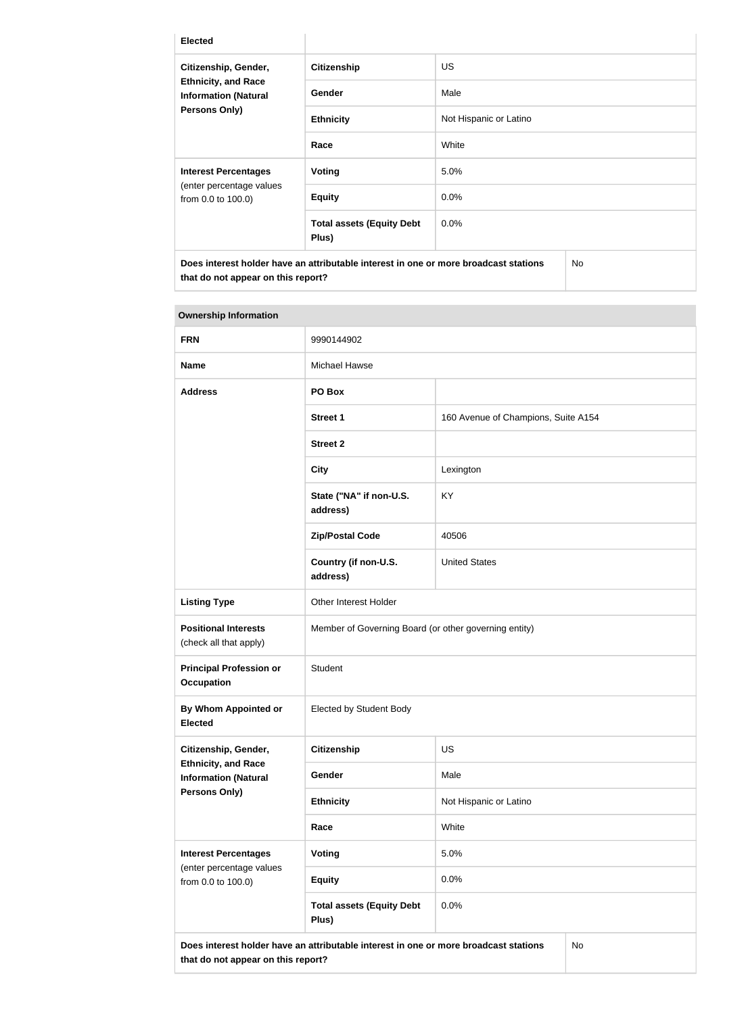| <b>Elected</b>                                                                                     |                                           |                        |  |
|----------------------------------------------------------------------------------------------------|-------------------------------------------|------------------------|--|
| Citizenship, Gender,<br><b>Ethnicity, and Race</b><br><b>Information (Natural</b><br>Persons Only) | <b>Citizenship</b>                        | US.                    |  |
|                                                                                                    | Gender                                    | Male                   |  |
|                                                                                                    | <b>Ethnicity</b>                          | Not Hispanic or Latino |  |
|                                                                                                    | Race                                      | White                  |  |
| <b>Interest Percentages</b>                                                                        | Voting                                    | 5.0%                   |  |
| (enter percentage values<br>from 0.0 to 100.0)                                                     | <b>Equity</b>                             | $0.0\%$                |  |
|                                                                                                    | <b>Total assets (Equity Debt</b><br>Plus) | 0.0%                   |  |
| <b>No</b><br>Does interest holder have an attributable interest in one or more broadcast stations  |                                           |                        |  |

| <b>Ownership Information</b>                              |                                                                                      |                                     |  |
|-----------------------------------------------------------|--------------------------------------------------------------------------------------|-------------------------------------|--|
| <b>FRN</b>                                                | 9990144902                                                                           |                                     |  |
| <b>Name</b>                                               | <b>Michael Hawse</b>                                                                 |                                     |  |
| <b>Address</b>                                            | PO Box                                                                               |                                     |  |
|                                                           | <b>Street 1</b>                                                                      | 160 Avenue of Champions, Suite A154 |  |
|                                                           | <b>Street 2</b>                                                                      |                                     |  |
|                                                           | <b>City</b>                                                                          | Lexington                           |  |
|                                                           | State ("NA" if non-U.S.<br>address)                                                  | KY                                  |  |
|                                                           | <b>Zip/Postal Code</b>                                                               | 40506                               |  |
|                                                           | Country (if non-U.S.<br>address)                                                     | <b>United States</b>                |  |
| <b>Listing Type</b>                                       | Other Interest Holder                                                                |                                     |  |
| <b>Positional Interests</b><br>(check all that apply)     | Member of Governing Board (or other governing entity)                                |                                     |  |
| <b>Principal Profession or</b><br><b>Occupation</b>       | Student                                                                              |                                     |  |
| <b>By Whom Appointed or</b><br><b>Elected</b>             | Elected by Student Body                                                              |                                     |  |
| Citizenship, Gender,                                      | <b>Citizenship</b>                                                                   | <b>US</b>                           |  |
| <b>Ethnicity, and Race</b><br><b>Information (Natural</b> | Gender                                                                               | Male                                |  |
| Persons Only)                                             | <b>Ethnicity</b>                                                                     | Not Hispanic or Latino              |  |
|                                                           | Race                                                                                 | White                               |  |
| <b>Interest Percentages</b><br>(enter percentage values   | <b>Voting</b>                                                                        | 5.0%                                |  |
| from 0.0 to 100.0)                                        | <b>Equity</b>                                                                        | 0.0%                                |  |
|                                                           | <b>Total assets (Equity Debt</b><br>Plus)                                            | 0.0%                                |  |
| that do not appear on this report?                        | Does interest holder have an attributable interest in one or more broadcast stations | No                                  |  |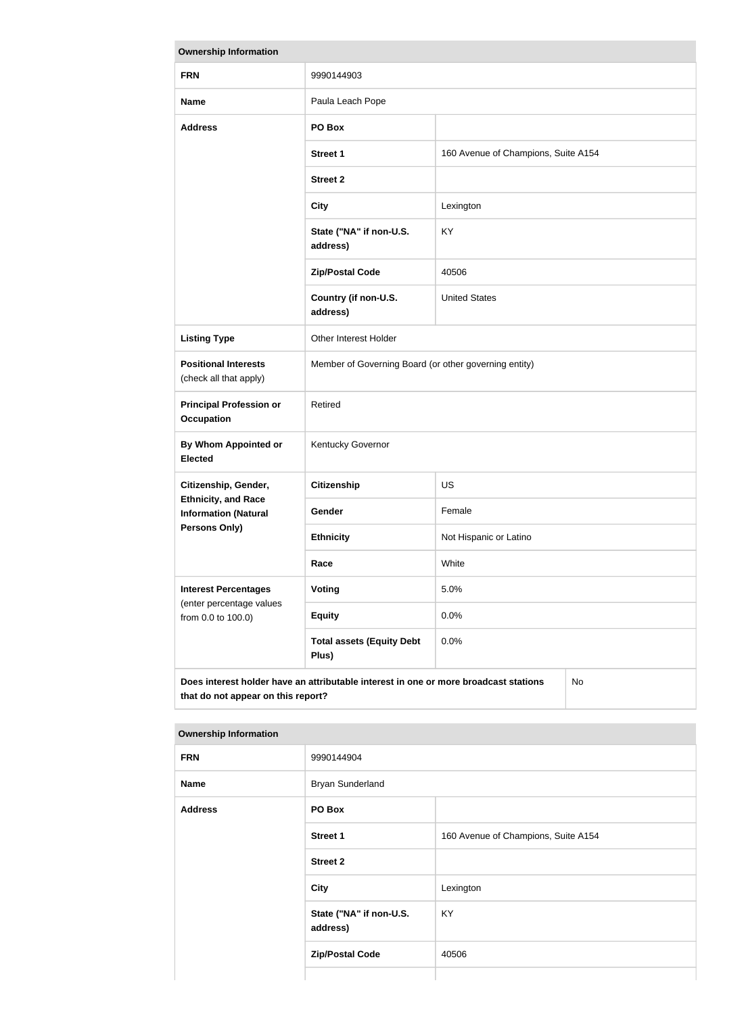| <b>Ownership Information</b>                                                                                                            |                                                       |                                     |  |
|-----------------------------------------------------------------------------------------------------------------------------------------|-------------------------------------------------------|-------------------------------------|--|
| <b>FRN</b>                                                                                                                              | 9990144903                                            |                                     |  |
| <b>Name</b>                                                                                                                             | Paula Leach Pope                                      |                                     |  |
| <b>Address</b>                                                                                                                          | PO Box                                                |                                     |  |
|                                                                                                                                         | <b>Street 1</b>                                       | 160 Avenue of Champions, Suite A154 |  |
|                                                                                                                                         | <b>Street 2</b>                                       |                                     |  |
|                                                                                                                                         | <b>City</b>                                           | Lexington                           |  |
|                                                                                                                                         | State ("NA" if non-U.S.<br>address)                   | KY                                  |  |
|                                                                                                                                         | <b>Zip/Postal Code</b>                                | 40506                               |  |
|                                                                                                                                         | Country (if non-U.S.<br>address)                      | <b>United States</b>                |  |
| <b>Listing Type</b>                                                                                                                     | Other Interest Holder                                 |                                     |  |
| <b>Positional Interests</b><br>(check all that apply)                                                                                   | Member of Governing Board (or other governing entity) |                                     |  |
| <b>Principal Profession or</b><br><b>Occupation</b>                                                                                     | Retired                                               |                                     |  |
| <b>By Whom Appointed or</b><br><b>Elected</b>                                                                                           | Kentucky Governor                                     |                                     |  |
| Citizenship, Gender,                                                                                                                    | <b>Citizenship</b>                                    | US                                  |  |
| <b>Ethnicity, and Race</b><br><b>Information (Natural</b>                                                                               | Gender                                                | Female                              |  |
| <b>Persons Only)</b>                                                                                                                    | <b>Ethnicity</b>                                      | Not Hispanic or Latino              |  |
|                                                                                                                                         | Race                                                  | White                               |  |
| <b>Interest Percentages</b><br>(enter percentage values                                                                                 | <b>Voting</b>                                         | 5.0%                                |  |
| from 0.0 to 100.0)                                                                                                                      | <b>Equity</b>                                         | 0.0%                                |  |
|                                                                                                                                         | <b>Total assets (Equity Debt</b><br>Plus)             | 0.0%                                |  |
| Does interest holder have an attributable interest in one or more broadcast stations<br><b>No</b><br>that do not appear on this report? |                                                       |                                     |  |

| Umnun and monument |                                     |                                     |
|--------------------|-------------------------------------|-------------------------------------|
| <b>FRN</b>         | 9990144904                          |                                     |
| <b>Name</b>        | <b>Bryan Sunderland</b>             |                                     |
| <b>Address</b>     | PO Box                              |                                     |
|                    | <b>Street 1</b>                     | 160 Avenue of Champions, Suite A154 |
|                    | <b>Street 2</b>                     |                                     |
|                    | <b>City</b>                         | Lexington                           |
|                    | State ("NA" if non-U.S.<br>address) | KY                                  |
|                    | <b>Zip/Postal Code</b>              | 40506                               |
|                    |                                     |                                     |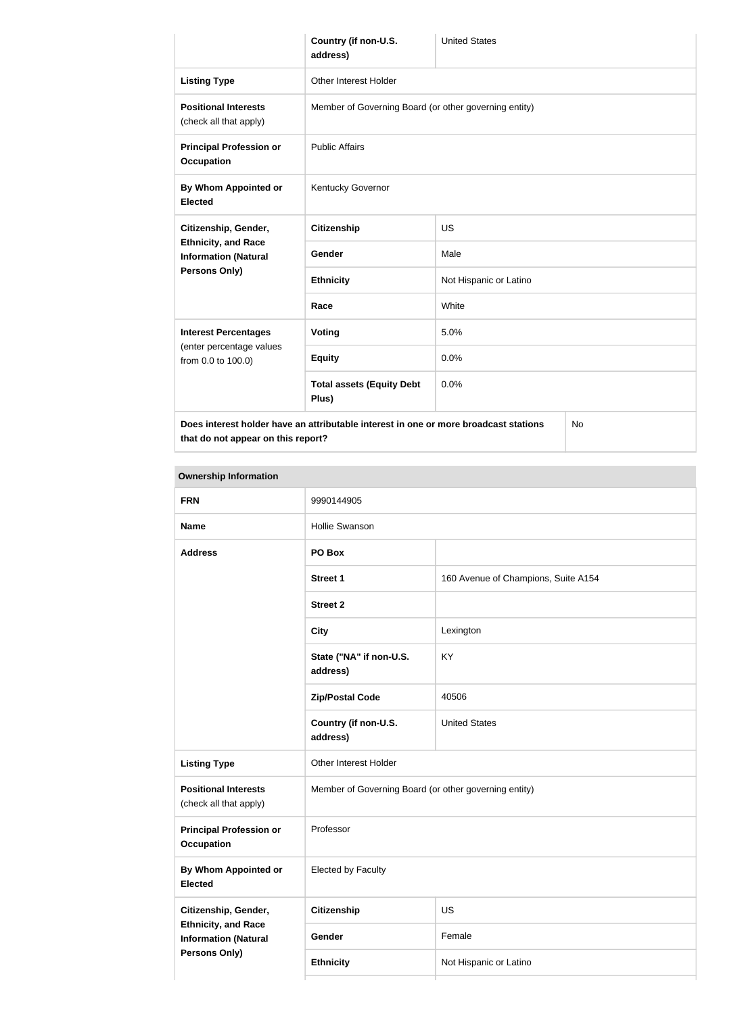|                                                                                                           | Country (if non-U.S.<br>address)                      | <b>United States</b>   |  |
|-----------------------------------------------------------------------------------------------------------|-------------------------------------------------------|------------------------|--|
| <b>Listing Type</b>                                                                                       | Other Interest Holder                                 |                        |  |
| <b>Positional Interests</b><br>(check all that apply)                                                     | Member of Governing Board (or other governing entity) |                        |  |
| <b>Principal Profession or</b><br><b>Occupation</b>                                                       | <b>Public Affairs</b>                                 |                        |  |
| <b>By Whom Appointed or</b><br><b>Elected</b>                                                             | Kentucky Governor                                     |                        |  |
| Citizenship, Gender,<br><b>Ethnicity, and Race</b><br><b>Information (Natural</b><br><b>Persons Only)</b> | <b>Citizenship</b>                                    | <b>US</b>              |  |
|                                                                                                           | <b>Gender</b>                                         | Male                   |  |
|                                                                                                           | <b>Ethnicity</b>                                      | Not Hispanic or Latino |  |
|                                                                                                           | Race                                                  | White                  |  |
| <b>Interest Percentages</b><br>(enter percentage values<br>from 0.0 to 100.0)                             | Voting                                                | 5.0%                   |  |
|                                                                                                           | <b>Equity</b>                                         | 0.0%                   |  |
|                                                                                                           | <b>Total assets (Equity Debt</b><br>Plus)             | 0.0%                   |  |
| Does interest holder have an attributable interest in one or more broadcast stations<br><b>No</b>         |                                                       |                        |  |

**Ownership Information FRN** 9990144905 **Name Hollie Swanson Address PO Box Street 1** 160 Avenue of Champions, Suite A154 **Street 2 City** Lexington **State ("NA" if non-U.S. address)** KY **Zip/Postal Code** 40506 **Country (if non-U.S. address)** United States **Listing Type Circuit Constructs** Other Interest Holder **Positional Interests** (check all that apply) Member of Governing Board (or other governing entity) **Principal Profession or Occupation** Professor **By Whom Appointed or Elected** Elected by Faculty **Citizenship, Gender, Ethnicity, and Race Information (Natural Persons Only) Citizenship** US Gender Female **Ethnicity** Not Hispanic or Latino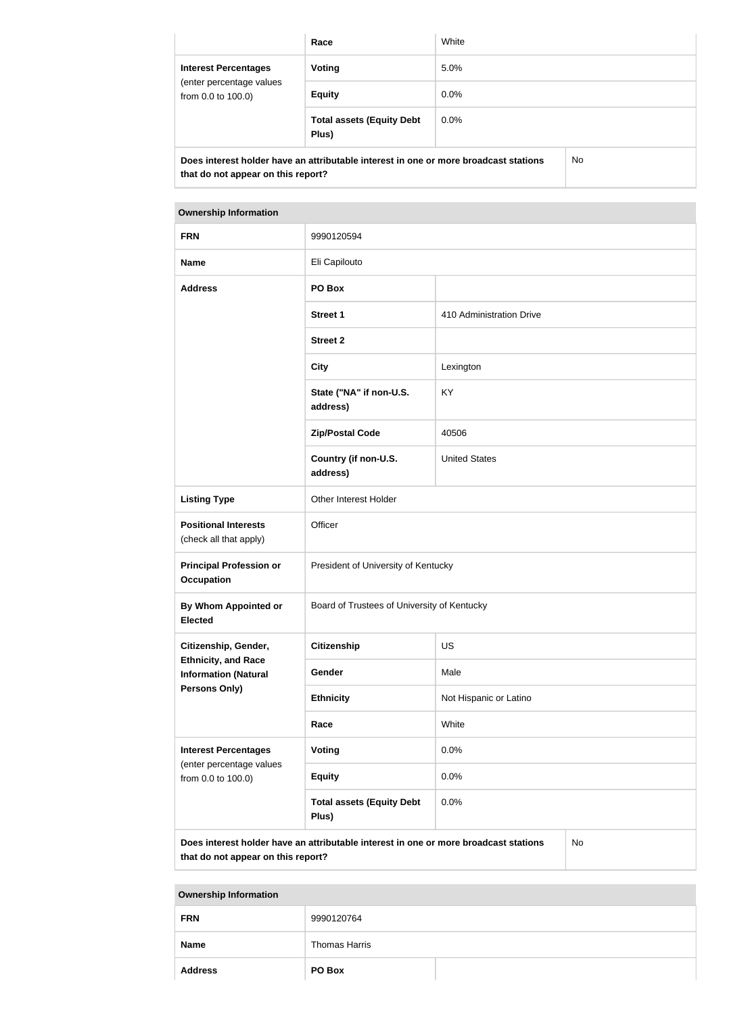|                                                                                                         | Race                                      | White   |  |
|---------------------------------------------------------------------------------------------------------|-------------------------------------------|---------|--|
| <b>Interest Percentages</b><br>(enter percentage values<br>from 0.0 to 100.0)                           | Voting                                    | 5.0%    |  |
|                                                                                                         | <b>Equity</b>                             | 0.0%    |  |
|                                                                                                         | <b>Total assets (Equity Debt</b><br>Plus) | $0.0\%$ |  |
| Dene betanast kaldas kaija an attekiitakla betanast bijana as masa ksaadaast atatlana.<br>$N_{\rm max}$ |                                           |         |  |

**Does interest holder have an attributable interest in one or more broadcast stations that do not appear on this report?**

No

| <b>Ownership Information</b>                                                  |                                             |                          |  |
|-------------------------------------------------------------------------------|---------------------------------------------|--------------------------|--|
| <b>FRN</b>                                                                    | 9990120594                                  |                          |  |
| <b>Name</b>                                                                   | Eli Capilouto                               |                          |  |
| <b>Address</b>                                                                | PO Box                                      |                          |  |
|                                                                               | <b>Street 1</b>                             | 410 Administration Drive |  |
|                                                                               | <b>Street 2</b>                             |                          |  |
|                                                                               | <b>City</b>                                 | Lexington                |  |
|                                                                               | State ("NA" if non-U.S.<br>address)         | KY                       |  |
|                                                                               | <b>Zip/Postal Code</b>                      | 40506                    |  |
|                                                                               | Country (if non-U.S.<br>address)            | <b>United States</b>     |  |
| <b>Listing Type</b>                                                           | Other Interest Holder                       |                          |  |
| <b>Positional Interests</b><br>(check all that apply)                         | Officer                                     |                          |  |
| <b>Principal Profession or</b><br><b>Occupation</b>                           | President of University of Kentucky         |                          |  |
| <b>By Whom Appointed or</b><br><b>Elected</b>                                 | Board of Trustees of University of Kentucky |                          |  |
| Citizenship, Gender,                                                          | <b>Citizenship</b>                          | <b>US</b>                |  |
| <b>Ethnicity, and Race</b><br><b>Information (Natural</b>                     | Gender                                      | Male                     |  |
| <b>Persons Only)</b>                                                          | <b>Ethnicity</b>                            | Not Hispanic or Latino   |  |
|                                                                               | Race                                        | White                    |  |
| <b>Interest Percentages</b><br>(enter percentage values<br>from 0.0 to 100.0) | Voting                                      | 0.0%                     |  |
|                                                                               | <b>Equity</b>                               | 0.0%                     |  |
|                                                                               | <b>Total assets (Equity Debt</b><br>Plus)   | 0.0%                     |  |

**that do not appear on this report?**

| the contract of the contract of the contract of the contract of the contract of the contract of the contract of |               |  |
|-----------------------------------------------------------------------------------------------------------------|---------------|--|
| <b>FRN</b>                                                                                                      | 9990120764    |  |
| <b>Name</b>                                                                                                     | Thomas Harris |  |
| <b>Address</b>                                                                                                  | <b>PO Box</b> |  |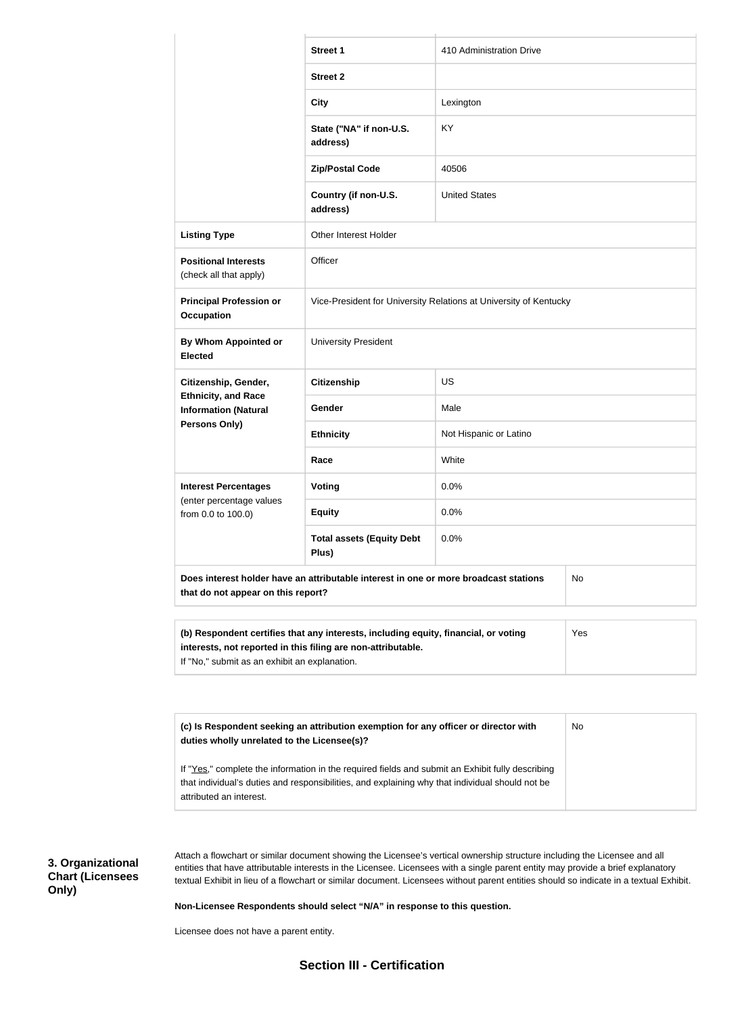|                                                                                                                                                                                                                                                                                                                                                                                                         | <b>Street 1</b>                                                   | 410 Administration Drive |  |  |
|---------------------------------------------------------------------------------------------------------------------------------------------------------------------------------------------------------------------------------------------------------------------------------------------------------------------------------------------------------------------------------------------------------|-------------------------------------------------------------------|--------------------------|--|--|
|                                                                                                                                                                                                                                                                                                                                                                                                         | <b>Street 2</b>                                                   |                          |  |  |
|                                                                                                                                                                                                                                                                                                                                                                                                         | <b>City</b>                                                       | Lexington                |  |  |
|                                                                                                                                                                                                                                                                                                                                                                                                         | State ("NA" if non-U.S.<br>address)                               | <b>KY</b>                |  |  |
|                                                                                                                                                                                                                                                                                                                                                                                                         | <b>Zip/Postal Code</b>                                            | 40506                    |  |  |
|                                                                                                                                                                                                                                                                                                                                                                                                         | Country (if non-U.S.<br>address)                                  | <b>United States</b>     |  |  |
| <b>Listing Type</b>                                                                                                                                                                                                                                                                                                                                                                                     | Other Interest Holder                                             |                          |  |  |
| <b>Positional Interests</b><br>(check all that apply)                                                                                                                                                                                                                                                                                                                                                   | Officer                                                           |                          |  |  |
| <b>Principal Profession or</b><br><b>Occupation</b>                                                                                                                                                                                                                                                                                                                                                     | Vice-President for University Relations at University of Kentucky |                          |  |  |
| By Whom Appointed or<br><b>Elected</b>                                                                                                                                                                                                                                                                                                                                                                  | <b>University President</b>                                       |                          |  |  |
| Citizenship, Gender,                                                                                                                                                                                                                                                                                                                                                                                    | <b>Citizenship</b>                                                | <b>US</b>                |  |  |
| <b>Ethnicity, and Race</b><br><b>Information (Natural</b>                                                                                                                                                                                                                                                                                                                                               | Gender                                                            | Male                     |  |  |
| Persons Only)                                                                                                                                                                                                                                                                                                                                                                                           | <b>Ethnicity</b>                                                  | Not Hispanic or Latino   |  |  |
|                                                                                                                                                                                                                                                                                                                                                                                                         | Race                                                              | White                    |  |  |
| <b>Interest Percentages</b>                                                                                                                                                                                                                                                                                                                                                                             | <b>Voting</b>                                                     | 0.0%                     |  |  |
| (enter percentage values<br>from 0.0 to 100.0)                                                                                                                                                                                                                                                                                                                                                          | <b>Equity</b>                                                     | 0.0%                     |  |  |
|                                                                                                                                                                                                                                                                                                                                                                                                         | <b>Total assets (Equity Debt</b><br>Plus)                         | 0.0%                     |  |  |
| Does interest holder have an attributable interest in one or more broadcast stations<br><b>No</b><br>that do not appear on this report?                                                                                                                                                                                                                                                                 |                                                                   |                          |  |  |
| (b) Respondent certifies that any interests, including equity, financial, or voting<br>Yes<br>interests, not reported in this filing are non-attributable.<br>If "No," submit as an exhibit an explanation.                                                                                                                                                                                             |                                                                   |                          |  |  |
|                                                                                                                                                                                                                                                                                                                                                                                                         |                                                                   |                          |  |  |
| (c) Is Respondent seeking an attribution exemption for any officer or director with<br>No<br>duties wholly unrelated to the Licensee(s)?                                                                                                                                                                                                                                                                |                                                                   |                          |  |  |
| If "Yes," complete the information in the required fields and submit an Exhibit fully describing<br>that individual's duties and responsibilities, and explaining why that individual should not be<br>attributed an interest.                                                                                                                                                                          |                                                                   |                          |  |  |
| Attach a flowchart or similar document showing the Licensee's vertical ownership structure including the Licensee and all<br>entities that have attributable interests in the Licensee. Licensees with a single parent entity may provide a brief explanatory<br>textual Exhibit in lieu of a flowchart or similar document. Licensees without parent entities should so indicate in a textual Exhibit. |                                                                   |                          |  |  |

**Non-Licensee Respondents should select "N/A" in response to this question.**

Licensee does not have a parent entity.

**3. Organizational Chart (Licensees** 

**Only)**

## **Section III - Certification**